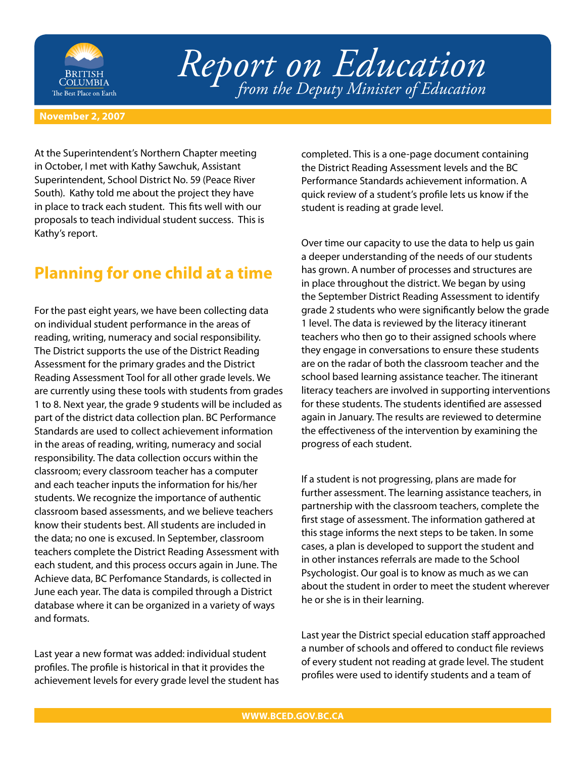

## *Report on Education from the Deputy Minister of Education*

## **November 2, 2007**

At the Superintendent's Northern Chapter meeting in October, I met with Kathy Sawchuk, Assistant Superintendent, School District No. 59 (Peace River South). Kathy told me about the project they have in place to track each student. This fits well with our proposals to teach individual student success. This is Kathy's report.

## **Planning for one child at a time**

For the past eight years, we have been collecting data on individual student performance in the areas of reading, writing, numeracy and social responsibility. The District supports the use of the District Reading Assessment for the primary grades and the District Reading Assessment Tool for all other grade levels. We are currently using these tools with students from grades 1 to 8. Next year, the grade 9 students will be included as part of the district data collection plan. BC Performance Standards are used to collect achievement information in the areas of reading, writing, numeracy and social responsibility. The data collection occurs within the classroom; every classroom teacher has a computer and each teacher inputs the information for his/her students. We recognize the importance of authentic classroom based assessments, and we believe teachers know their students best. All students are included in the data; no one is excused. In September, classroom teachers complete the District Reading Assessment with each student, and this process occurs again in June. The Achieve data, BC Perfomance Standards, is collected in June each year. The data is compiled through a District database where it can be organized in a variety of ways and formats.

Last year a new format was added: individual student profiles. The profile is historical in that it provides the achievement levels for every grade level the student has completed. This is a one-page document containing the District Reading Assessment levels and the BC Performance Standards achievement information. A quick review of a student's profile lets us know if the student is reading at grade level.

Over time our capacity to use the data to help us gain a deeper understanding of the needs of our students has grown. A number of processes and structures are in place throughout the district. We began by using the September District Reading Assessment to identify grade 2 students who were significantly below the grade 1 level. The data is reviewed by the literacy itinerant teachers who then go to their assigned schools where they engage in conversations to ensure these students are on the radar of both the classroom teacher and the school based learning assistance teacher. The itinerant literacy teachers are involved in supporting interventions for these students. The students identified are assessed again in January. The results are reviewed to determine the effectiveness of the intervention by examining the progress of each student.

If a student is not progressing, plans are made for further assessment. The learning assistance teachers, in partnership with the classroom teachers, complete the first stage of assessment. The information gathered at this stage informs the next steps to be taken. In some cases, a plan is developed to support the student and in other instances referrals are made to the School Psychologist. Our goal is to know as much as we can about the student in order to meet the student wherever he or she is in their learning.

Last year the District special education staff approached a number of schools and offered to conduct file reviews of every student not reading at grade level. The student profiles were used to identify students and a team of